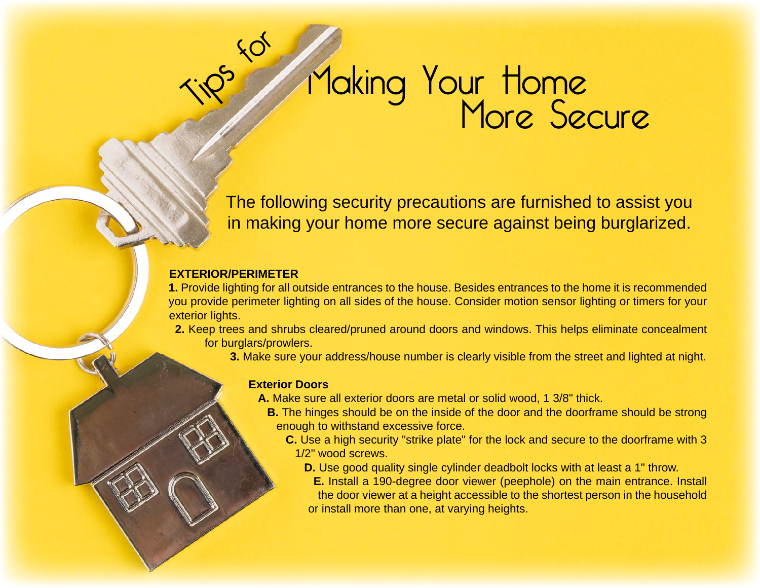# $550$ Making Your Home<br>More Secure

The following security precautions are furnished to assist you in making your home more secure against being burglarized.

#### **EXTERIOR/PERIMETER**

**1.** Provide lighting for all outside entrances to the house. Besides entrances to the home it is recommended you provide perimeter lighting on all sides of the house. Consider motion sensor lighting or timers for your exterior lights.

**2.** Keep trees and shrubs cleared/pruned around doors and windows. This helps eliminate concealment for burglars/prowlers.

**3.** Make sure your address/house number is clearly visible from the street and lighted at night.

#### **Exterior Doors**

- **A.** Make sure all exterior doors are metal or solid wood, 1 3/8" thick.
	- **B.** The hinges should be on the inside of the door and the doorframe should be strong enough to withstand excessive force.
		- **C.** Use a high security "strike plate" for the lock and secure to the doorframe with 3 1/2" wood screws.
			- **D.** Use good quality single cylinder deadbolt locks with at least a 1" throw.
			- **E.** Install a 190-degree door viewer (peephole) on the main entrance. Install the door viewer at a height accessible to the shortest person in the household or install more than one, at varying heights.